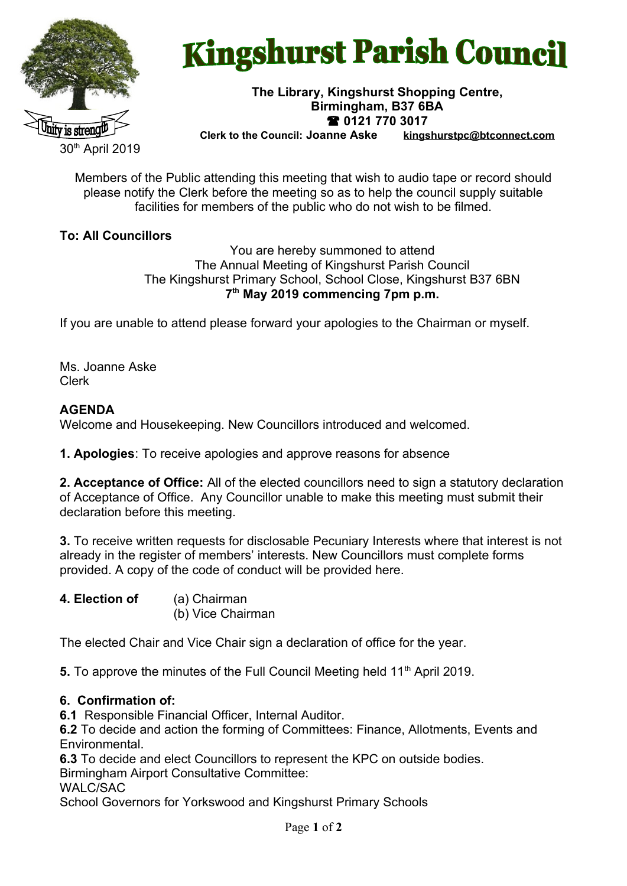

# **Kingshurst Parish Council**

## **The Library, Kingshurst Shopping Centre, Birmingham, B37 6BA 0121 770 3017**

 $kinashurstpc@bto connect.com$ 

30<sup>th</sup> April 2019

Members of the Public attending this meeting that wish to audio tape or record should please notify the Clerk before the meeting so as to help the council supply suitable facilities for members of the public who do not wish to be filmed.

#### **To: All Councillors**

You are hereby summoned to attend The Annual Meeting of Kingshurst Parish Council The Kingshurst Primary School, School Close, Kingshurst B37 6BN **7 th May 2019 commencing 7pm p.m.**

If you are unable to attend please forward your apologies to the Chairman or myself.

Ms. Joanne Aske Clerk

#### **AGENDA**

Welcome and Housekeeping. New Councillors introduced and welcomed.

**1. Apologies**: To receive apologies and approve reasons for absence

**2. Acceptance of Office:** All of the elected councillors need to sign a statutory declaration of Acceptance of Office. Any Councillor unable to make this meeting must submit their declaration before this meeting.

**3.** To receive written requests for disclosable Pecuniary Interests where that interest is not already in the register of members' interests. New Councillors must complete forms provided. A copy of the code of conduct will be provided here.

**4. Election of** (a) Chairman (b) Vice Chairman

The elected Chair and Vice Chair sign a declaration of office for the year.

**5.** To approve the minutes of the Full Council Meeting held 11<sup>th</sup> April 2019.

#### **6. Confirmation of:**

**6.1** Responsible Financial Officer, Internal Auditor.

**6.2** To decide and action the forming of Committees: Finance, Allotments, Events and **Environmental** 

**6.3** To decide and elect Councillors to represent the KPC on outside bodies.

Birmingham Airport Consultative Committee:

WALC/SAC

School Governors for Yorkswood and Kingshurst Primary Schools